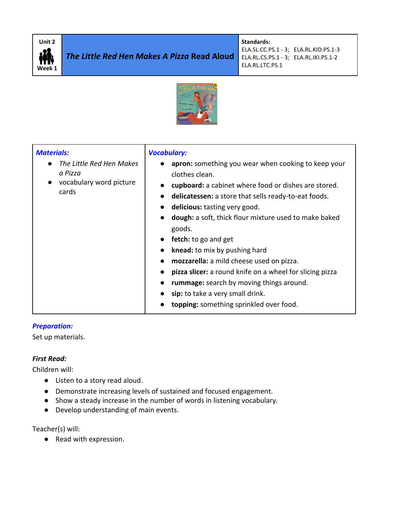

**Standards:** 

ELA.SL.CC.PS.1 - 3; ELA.RL.KID.PS.1-3 ELA.RL.CS.PS.1 - 3; ELA.RL.IKI.PS.1-2 ELA.RL.LTC.PS.1



| <b>Materials:</b>                                                                    | <b>Vocabulary:</b>                                                                                                                                                                                                                                                                                                                                                                                                                                                                                                                                                                                               |
|--------------------------------------------------------------------------------------|------------------------------------------------------------------------------------------------------------------------------------------------------------------------------------------------------------------------------------------------------------------------------------------------------------------------------------------------------------------------------------------------------------------------------------------------------------------------------------------------------------------------------------------------------------------------------------------------------------------|
| The Little Red Hen Makes<br>a Pizza<br>vocabulary word picture<br>$\bullet$<br>cards | apron: something you wear when cooking to keep your<br>clothes clean.<br>cupboard: a cabinet where food or dishes are stored.<br>delicatessen: a store that sells ready-to-eat foods.<br>delicious: tasting very good.<br><b>dough:</b> a soft, thick flour mixture used to make baked<br>goods.<br><b>fetch:</b> to go and get<br>$\bullet$<br>knead: to mix by pushing hard<br>mozzarella: a mild cheese used on pizza.<br>pizza slicer: a round knife on a wheel for slicing pizza<br>rummage: search by moving things around.<br>sip: to take a very small drink.<br>topping: something sprinkled over food. |

#### *Preparation:*

Set up materials.

# *First Read:*

Children will:

- Listen to a story read aloud.
- Demonstrate increasing levels of sustained and focused engagement.
- Show a steady increase in the number of words in listening vocabulary.
- Develop understanding of main events.

Teacher(s) will:

● Read with expression.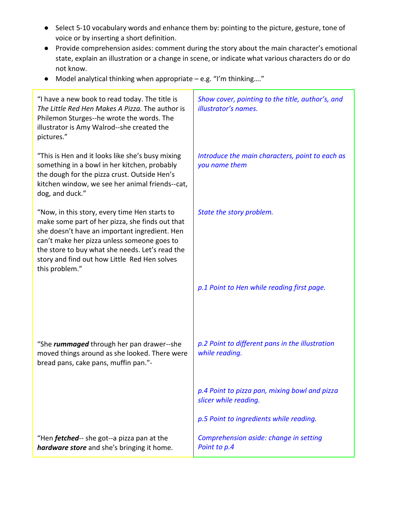- Select 5-10 vocabulary words and enhance them by: pointing to the picture, gesture, tone of voice or by inserting a short definition.
- Provide comprehension asides: comment during the story about the main character's emotional state, explain an illustration or a change in scene, or indicate what various characters do or do not know.
- Model analytical thinking when appropriate e.g. "I'm thinking…."

| "I have a new book to read today. The title is<br>The Little Red Hen Makes A Pizza. The author is<br>Philemon Sturges--he wrote the words. The<br>illustrator is Amy Walrod--she created the<br>pictures."                                                                                                            | Show cover, pointing to the title, author's, and<br>illustrator's names. |
|-----------------------------------------------------------------------------------------------------------------------------------------------------------------------------------------------------------------------------------------------------------------------------------------------------------------------|--------------------------------------------------------------------------|
| "This is Hen and it looks like she's busy mixing<br>something in a bowl in her kitchen, probably<br>the dough for the pizza crust. Outside Hen's<br>kitchen window, we see her animal friends--cat,<br>dog, and duck."                                                                                                | Introduce the main characters, point to each as<br>you name them         |
| "Now, in this story, every time Hen starts to<br>make some part of her pizza, she finds out that<br>she doesn't have an important ingredient. Hen<br>can't make her pizza unless someone goes to<br>the store to buy what she needs. Let's read the<br>story and find out how Little Red Hen solves<br>this problem." | State the story problem.                                                 |
|                                                                                                                                                                                                                                                                                                                       | p.1 Point to Hen while reading first page.                               |
| "She rummaged through her pan drawer--she<br>moved things around as she looked. There were<br>bread pans, cake pans, muffin pan."-                                                                                                                                                                                    | p.2 Point to different pans in the illustration<br>while reading.        |
|                                                                                                                                                                                                                                                                                                                       | p.4 Point to pizza pan, mixing bowl and pizza<br>slicer while reading.   |
|                                                                                                                                                                                                                                                                                                                       | p.5 Point to ingredients while reading.                                  |
| "Hen <i>fetched</i> -- she got--a pizza pan at the<br>hardware store and she's bringing it home.                                                                                                                                                                                                                      | Comprehension aside: change in setting<br>Point to p.4                   |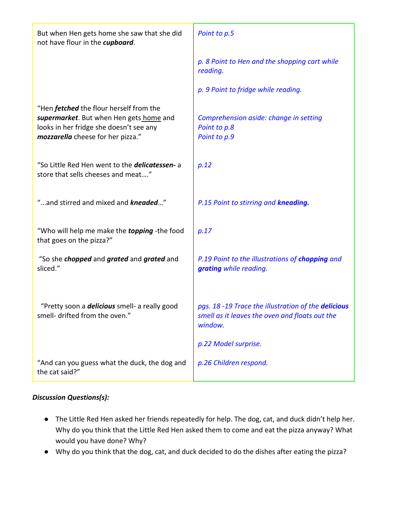| But when Hen gets home she saw that she did<br>not have flour in the cupboard.                                                                                            | Point to p.5                                                                                                                             |  |
|---------------------------------------------------------------------------------------------------------------------------------------------------------------------------|------------------------------------------------------------------------------------------------------------------------------------------|--|
|                                                                                                                                                                           | p. 8 Point to Hen and the shopping cart while<br>reading.                                                                                |  |
|                                                                                                                                                                           | p. 9 Point to fridge while reading.                                                                                                      |  |
| "Hen <i>fetched</i> the flour herself from the<br>supermarket. But when Hen gets home and<br>looks in her fridge she doesn't see any<br>mozzarella cheese for her pizza." | Comprehension aside: change in setting<br>Point to p.8<br>Point to p.9                                                                   |  |
| "So Little Red Hen went to the <i>delicatessen</i> -a<br>store that sells cheeses and meat"                                                                               | p.12                                                                                                                                     |  |
| "and stirred and mixed and kneaded"                                                                                                                                       | P.15 Point to stirring and kneading.                                                                                                     |  |
| "Who will help me make the topping -the food<br>that goes on the pizza?"                                                                                                  | p.17                                                                                                                                     |  |
| "So she <i>chopped</i> and <i>grated</i> and <i>grated</i> and<br>sliced."                                                                                                | P.19 Point to the illustrations of chopping and<br>grating while reading.                                                                |  |
| "Pretty soon a <i>delicious</i> smell- a really good<br>smell- drifted from the oven."                                                                                    | pgs. 18 -19 Trace the illustration of the delicious<br>smell as it leaves the oven and floats out the<br>window.<br>p.22 Model surprise. |  |
| "And can you guess what the duck, the dog and<br>the cat said?"                                                                                                           | p.26 Children respond.                                                                                                                   |  |

# *Discussion Questions(s):*

- The Little Red Hen asked her friends repeatedly for help. The dog, cat, and duck didn't help her. Why do you think that the Little Red Hen asked them to come and eat the pizza anyway? What would you have done? Why?
- Why do you think that the dog, cat, and duck decided to do the dishes after eating the pizza?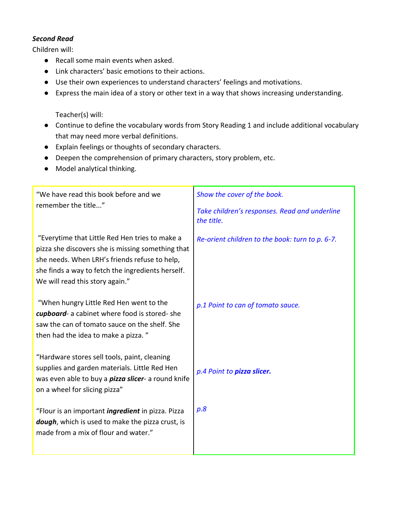#### *Second Read*

Children will:

- Recall some main events when asked.
- Link characters' basic emotions to their actions.
- Use their own experiences to understand characters' feelings and motivations.
- Express the main idea of a story or other text in a way that shows increasing understanding.

Teacher(s) will:

- Continue to define the vocabulary words from Story Reading 1 and include additional vocabulary that may need more verbal definitions.
- Explain feelings or thoughts of secondary characters.
- Deepen the comprehension of primary characters, story problem, etc.
- Model analytical thinking.

| "We have read this book before and we<br>remember the title"                                                                                                                                                                                 | Show the cover of the book.<br>Take children's responses. Read and underline<br>the title. |
|----------------------------------------------------------------------------------------------------------------------------------------------------------------------------------------------------------------------------------------------|--------------------------------------------------------------------------------------------|
| "Everytime that Little Red Hen tries to make a<br>pizza she discovers she is missing something that<br>she needs. When LRH's friends refuse to help,<br>she finds a way to fetch the ingredients herself.<br>We will read this story again." | Re-orient children to the book: turn to p. 6-7.                                            |
| "When hungry Little Red Hen went to the<br>cupboard- a cabinet where food is stored-she<br>saw the can of tomato sauce on the shelf. She<br>then had the idea to make a pizza."                                                              | p.1 Point to can of tomato sauce.                                                          |
| "Hardware stores sell tools, paint, cleaning<br>supplies and garden materials. Little Red Hen<br>was even able to buy a <i>pizza slicer</i> - a round knife<br>on a wheel for slicing pizza"                                                 | p.4 Point to pizza slicer.                                                                 |
| "Flour is an important <i>ingredient</i> in pizza. Pizza<br>dough, which is used to make the pizza crust, is<br>made from a mix of flour and water."                                                                                         | p.8                                                                                        |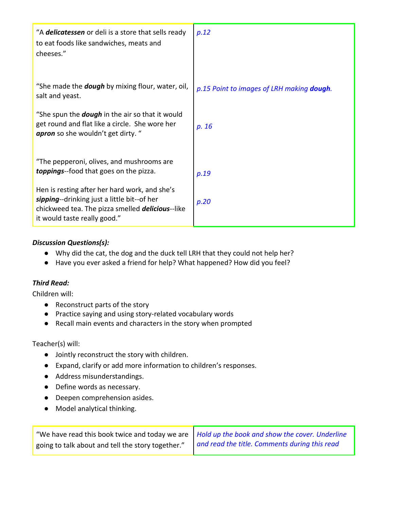| "A delicatessen or deli is a store that sells ready<br>to eat foods like sandwiches, meats and<br>cheeses."                                                                              | p.12                                              |
|------------------------------------------------------------------------------------------------------------------------------------------------------------------------------------------|---------------------------------------------------|
| "She made the <b>dough</b> by mixing flour, water, oil,<br>salt and yeast.                                                                                                               | p.15 Point to images of LRH making <b>dough</b> . |
| "She spun the <b>dough</b> in the air so that it would<br>get round and flat like a circle. She wore her<br>apron so she wouldn't get dirty. "                                           | p. 16                                             |
| "The pepperoni, olives, and mushrooms are<br><b>toppings</b> -food that goes on the pizza.                                                                                               | p.19                                              |
| Hen is resting after her hard work, and she's<br>sipping--drinking just a little bit--of her<br>chickweed tea. The pizza smelled <i>delicious</i> --like<br>it would taste really good." | p.20                                              |

### *Discussion Questions(s):*

- Why did the cat, the dog and the duck tell LRH that they could not help her?
- Have you ever asked a friend for help? What happened? How did you feel?

# *Third Read:*

Children will:

- Reconstruct parts of the story
- Practice saying and using story-related vocabulary words
- Recall main events and characters in the story when prompted

#### Teacher(s) will:

- Jointly reconstruct the story with children.
- Expand, clarify or add more information to children's responses.
- Address misunderstandings.
- Define words as necessary.
- Deepen comprehension asides.
- Model analytical thinking.

| "We have read this book twice and today we are   Hold up the book and show the cover. Underline |                                               |
|-------------------------------------------------------------------------------------------------|-----------------------------------------------|
| going to talk about and tell the story together."                                               | and read the title. Comments during this read |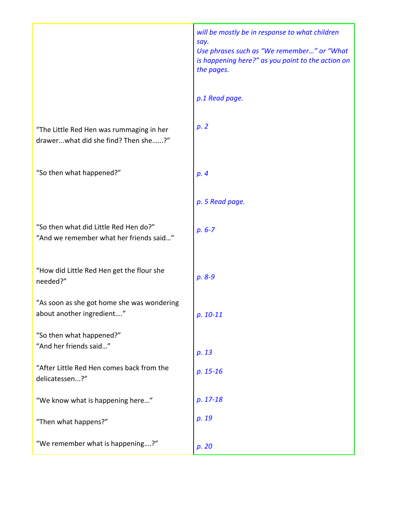|                                                                                  | will be mostly be in response to what children<br>say.<br>Use phrases such as "We remember" or "What<br>is happening here?" as you point to the action on<br>the pages. |
|----------------------------------------------------------------------------------|-------------------------------------------------------------------------------------------------------------------------------------------------------------------------|
|                                                                                  | p.1 Read page.                                                                                                                                                          |
| "The Little Red Hen was rummaging in her<br>drawerwhat did she find? Then she?"  | p.2                                                                                                                                                                     |
| "So then what happened?"                                                         | p.4                                                                                                                                                                     |
|                                                                                  | p. 5 Read page.                                                                                                                                                         |
| "So then what did Little Red Hen do?"<br>"And we remember what her friends said" | $p. 6 - 7$                                                                                                                                                              |
| "How did Little Red Hen get the flour she<br>needed?"                            | p. 8-9                                                                                                                                                                  |
| "As soon as she got home she was wondering<br>about another ingredient"          | p. 10-11                                                                                                                                                                |
| "So then what happened?"<br>"And her friends said"                               | p. 13                                                                                                                                                                   |
| "After Little Red Hen comes back from the<br>delicatessen?"                      | $p. 15-16$                                                                                                                                                              |
| "We know what is happening here"                                                 | p. 17-18                                                                                                                                                                |
| "Then what happens?"                                                             | p. 19                                                                                                                                                                   |
| "We remember what is happening?"                                                 | p. 20                                                                                                                                                                   |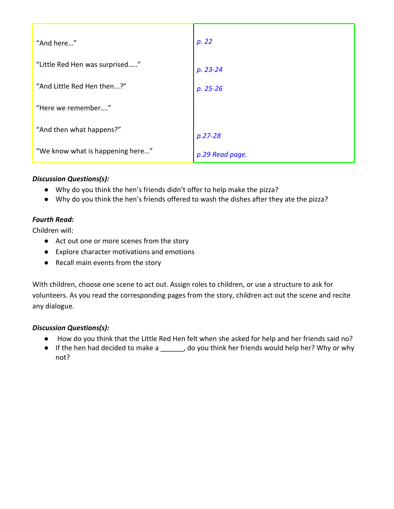| "And here"                       | p. 22           |
|----------------------------------|-----------------|
| "Little Red Hen was surprised"   | $p. 23 - 24$    |
| "And Little Red Hen then?"       | $p. 25 - 26$    |
| "Here we remember"               |                 |
| "And then what happens?"         | $p.27 - 28$     |
| "We know what is happening here" | p.29 Read page. |

# *Discussion Questions(s):*

- Why do you think the hen's friends didn't offer to help make the pizza?
- Why do you think the hen's friends offered to wash the dishes after they ate the pizza?

### *Fourth Read:*

Children will:

- Act out one or more scenes from the story
- Explore character motivations and emotions
- Recall main events from the story

With children, choose one scene to act out. Assign roles to children, or use a structure to ask for volunteers. As you read the corresponding pages from the story, children act out the scene and recite any dialogue.

#### *Discussion Questions(s):*

- How do you think that the Little Red Hen felt when she asked for help and her friends said no?
- If the hen had decided to make a \_\_\_\_\_\_, do you think her friends would help her? Why or why not?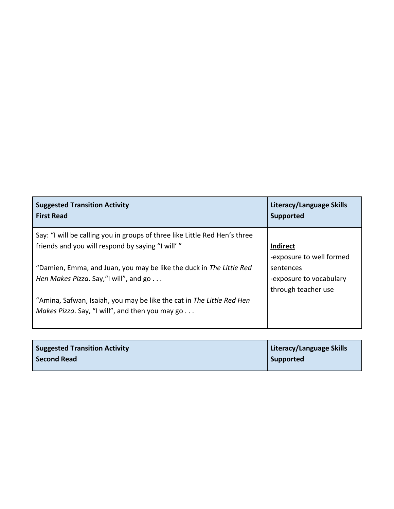| <b>Suggested Transition Activity</b>                                                                                     | Literacy/Language Skills                                    |
|--------------------------------------------------------------------------------------------------------------------------|-------------------------------------------------------------|
| <b>First Read</b>                                                                                                        | <b>Supported</b>                                            |
| Say: "I will be calling you in groups of three like Little Red Hen's three                                               | <b>Indirect</b>                                             |
| friends and you will respond by saying "I will'"                                                                         | -exposure to well formed                                    |
| "Damien, Emma, and Juan, you may be like the duck in The Little Red<br>Hen Makes Pizza. Say, "I will", and go            | sentences<br>-exposure to vocabulary<br>through teacher use |
| "Amina, Safwan, Isaiah, you may be like the cat in The Little Red Hen<br>Makes Pizza. Say, "I will", and then you may go |                                                             |

| <b>Suggested Transition Activity</b> | Literacy/Language Skills |
|--------------------------------------|--------------------------|
| <b>Second Read</b>                   | Supported                |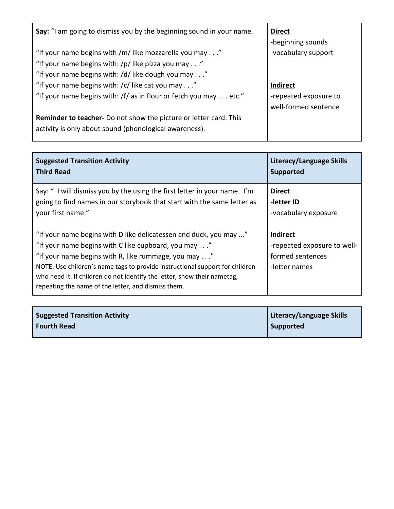| Say: "I am going to dismiss you by the beginning sound in your name.     | <b>Direct</b>         |
|--------------------------------------------------------------------------|-----------------------|
|                                                                          | -beginning sounds     |
| "If your name begins with /m/ like mozzarella you may"                   | -vocabulary support   |
| "If your name begins with: /p/ like pizza you may"                       |                       |
| "If your name begins with: /d/ like dough you may"                       |                       |
| "If your name begins with: /c/ like cat you may"                         | <b>Indirect</b>       |
| "If your name begins with: /f/ as in flour or fetch you may etc."        | -repeated exposure to |
|                                                                          | well-formed sentence  |
| <b>Reminder to teacher-</b> Do not show the picture or letter card. This |                       |
| activity is only about sound (phonological awareness).                   |                       |

| <b>Suggested Transition Activity</b>                                                                                                                                                                                                                                                                                                                                                                        | Literacy/Language Skills                                                            |
|-------------------------------------------------------------------------------------------------------------------------------------------------------------------------------------------------------------------------------------------------------------------------------------------------------------------------------------------------------------------------------------------------------------|-------------------------------------------------------------------------------------|
| <b>Third Read</b>                                                                                                                                                                                                                                                                                                                                                                                           | <b>Supported</b>                                                                    |
| Say: "I will dismiss you by the using the first letter in your name. I'm                                                                                                                                                                                                                                                                                                                                    | <b>Direct</b>                                                                       |
| going to find names in our storybook that start with the same letter as                                                                                                                                                                                                                                                                                                                                     | -letter ID                                                                          |
| your first name."                                                                                                                                                                                                                                                                                                                                                                                           | -vocabulary exposure                                                                |
| "If your name begins with D like delicatessen and duck, you may "<br>"If your name begins with C like cupboard, you may"<br>"If your name begins with R, like rummage, you may $\dots$ "<br>NOTE: Use children's name tags to provide instructional support for children<br>who need it. If children do not identify the letter, show their nametag,<br>repeating the name of the letter, and dismiss them. | <b>Indirect</b><br>-repeated exposure to well-<br>formed sentences<br>-letter names |

| <b>Suggested Transition Activity</b> | Literacy/Language Skills |
|--------------------------------------|--------------------------|
| Fourth Read                          | <b>Supported</b>         |